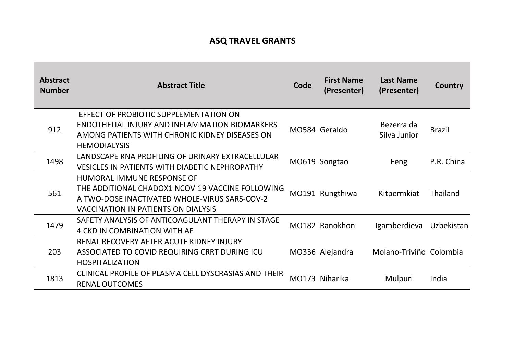## **ASQ TRAVEL GRANTS**

| <b>Abstract</b><br><b>Number</b> | <b>Abstract Title</b>                                                                                                                                                         | Code | <b>First Name</b><br>(Presenter) | <b>Last Name</b><br>(Presenter) | Country       |
|----------------------------------|-------------------------------------------------------------------------------------------------------------------------------------------------------------------------------|------|----------------------------------|---------------------------------|---------------|
| 912                              | EFFECT OF PROBIOTIC SUPPLEMENTATION ON<br>ENDOTHELIAL INJURY AND INFLAMMATION BIOMARKERS<br>AMONG PATIENTS WITH CHRONIC KIDNEY DISEASES ON<br><b>HEMODIALYSIS</b>             |      | MO584 Geraldo                    | Bezerra da<br>Silva Junior      | <b>Brazil</b> |
| 1498                             | LANDSCAPE RNA PROFILING OF URINARY EXTRACELLULAR<br><b>VESICLES IN PATIENTS WITH DIABETIC NEPHROPATHY</b>                                                                     |      | MO619 Songtao                    | Feng                            | P.R. China    |
| 561                              | HUMORAL IMMUNE RESPONSE OF<br>THE ADDITIONAL CHADOX1 NCOV-19 VACCINE FOLLOWING<br>A TWO-DOSE INACTIVATED WHOLE-VIRUS SARS-COV-2<br><b>VACCINATION IN PATIENTS ON DIALYSIS</b> |      | MO191 Rungthiwa                  | Kitpermkiat                     | Thailand      |
| 1479                             | SAFETY ANALYSIS OF ANTICOAGULANT THERAPY IN STAGE<br><b>4 CKD IN COMBINATION WITH AF</b>                                                                                      |      | MO182 Ranokhon                   | Igamberdieva                    | Uzbekistan    |
| 203                              | RENAL RECOVERY AFTER ACUTE KIDNEY INJURY<br>ASSOCIATED TO COVID REQUIRING CRRT DURING ICU<br><b>HOSPITALIZATION</b>                                                           |      | MO336 Alejandra                  | Molano-Triviño Colombia         |               |
| 1813                             | CLINICAL PROFILE OF PLASMA CELL DYSCRASIAS AND THEIR<br><b>RENAL OUTCOMES</b>                                                                                                 |      | MO173 Niharika                   | Mulpuri                         | India         |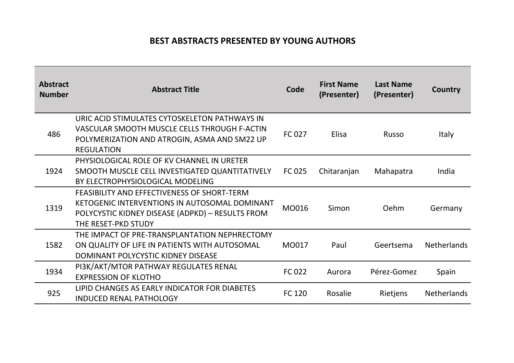## **BEST ABSTRACTS PRESENTED BY YOUNG AUTHORS**

| <b>Abstract</b><br><b>Number</b> | <b>Abstract Title</b>                                                                                                                                                   | Code          | <b>First Name</b><br>(Presenter) | <b>Last Name</b><br>(Presenter) | Country            |
|----------------------------------|-------------------------------------------------------------------------------------------------------------------------------------------------------------------------|---------------|----------------------------------|---------------------------------|--------------------|
| 486                              | URIC ACID STIMULATES CYTOSKELETON PATHWAYS IN<br>VASCULAR SMOOTH MUSCLE CELLS THROUGH F-ACTIN<br>POLYMERIZATION AND ATROGIN, ASMA AND SM22 UP<br><b>REGULATION</b>      | <b>FC 027</b> | <b>Elisa</b>                     | <b>Russo</b>                    | Italy              |
| 1924                             | PHYSIOLOGICAL ROLE OF KV CHANNEL IN URETER<br>SMOOTH MUSCLE CELL INVESTIGATED QUANTITATIVELY<br>BY ELECTROPHYSIOLOGICAL MODELING                                        | FC 025        | Chitaranjan                      | Mahapatra                       | India              |
| 1319                             | FEASIBILITY AND EFFECTIVENESS OF SHORT-TERM<br>KETOGENIC INTERVENTIONS IN AUTOSOMAL DOMINANT<br>POLYCYSTIC KIDNEY DISEASE (ADPKD) - RESULTS FROM<br>THE RESET-PKD STUDY | MO016         | Simon                            | Oehm                            | Germany            |
| 1582                             | THE IMPACT OF PRE-TRANSPLANTATION NEPHRECTOMY<br>ON QUALITY OF LIFE IN PATIENTS WITH AUTOSOMAL<br>DOMINANT POLYCYSTIC KIDNEY DISEASE                                    | MO017         | Paul                             | Geertsema                       | <b>Netherlands</b> |
| 1934                             | PI3K/AKT/MTOR PATHWAY REGULATES RENAL<br><b>EXPRESSION OF KLOTHO</b>                                                                                                    | FC 022        | Aurora                           | Pérez-Gomez                     | Spain              |
| 925                              | LIPID CHANGES AS EARLY INDICATOR FOR DIABETES<br><b>INDUCED RENAL PATHOLOGY</b>                                                                                         | FC 120        | Rosalie                          | Rietjens                        | <b>Netherlands</b> |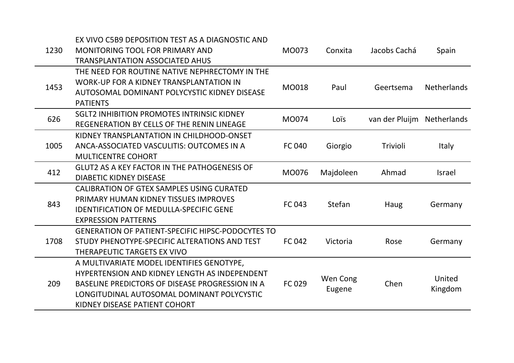| 1230 | EX VIVO C5B9 DEPOSITION TEST AS A DIAGNOSTIC AND<br>MONITORING TOOL FOR PRIMARY AND | MO073         | Conxita   | Jacobs Cachá   | Spain              |  |
|------|-------------------------------------------------------------------------------------|---------------|-----------|----------------|--------------------|--|
|      | <b>TRANSPLANTATION ASSOCIATED AHUS</b>                                              |               |           |                |                    |  |
|      | THE NEED FOR ROUTINE NATIVE NEPHRECTOMY IN THE                                      |               |           |                |                    |  |
| 1453 | <b>WORK-UP FOR A KIDNEY TRANSPLANTATION IN</b>                                      | MO018         | Paul      | Geertsema      | <b>Netherlands</b> |  |
|      | AUTOSOMAL DOMINANT POLYCYSTIC KIDNEY DISEASE                                        |               |           |                |                    |  |
|      | <b>PATIENTS</b>                                                                     |               |           |                |                    |  |
| 626  | <b>SGLT2 INHIBITION PROMOTES INTRINSIC KIDNEY</b>                                   | MO074         | Loïs      | van der Pluijm | <b>Netherlands</b> |  |
|      | REGENERATION BY CELLS OF THE RENIN LINEAGE                                          |               |           |                |                    |  |
|      | KIDNEY TRANSPLANTATION IN CHILDHOOD-ONSET                                           |               |           |                |                    |  |
| 1005 | ANCA-ASSOCIATED VASCULITIS: OUTCOMES IN A                                           | <b>FC 040</b> | Giorgio   | Trivioli       | <b>Italy</b>       |  |
|      | <b>MULTICENTRE COHORT</b>                                                           |               |           |                |                    |  |
| 412  | <b>GLUT2 AS A KEY FACTOR IN THE PATHOGENESIS OF</b>                                 |               | Majdoleen | Ahmad          | <b>Israel</b>      |  |
|      | <b>DIABETIC KIDNEY DISEASE</b>                                                      | MO076         |           |                |                    |  |
|      | CALIBRATION OF GTEX SAMPLES USING CURATED                                           |               |           |                |                    |  |
| 843  | PRIMARY HUMAN KIDNEY TISSUES IMPROVES                                               | FC 043        | Stefan    | Haug           | Germany            |  |
|      | <b>IDENTIFICATION OF MEDULLA-SPECIFIC GENE</b>                                      |               |           |                |                    |  |
|      | <b>EXPRESSION PATTERNS</b>                                                          |               |           |                |                    |  |
|      | <b>GENERATION OF PATIENT-SPECIFIC HIPSC-PODOCYTES TO</b>                            |               |           |                |                    |  |
| 1708 | STUDY PHENOTYPE-SPECIFIC ALTERATIONS AND TEST                                       | <b>FC 042</b> | Victoria  | Rose           | Germany            |  |
|      | THERAPEUTIC TARGETS EX VIVO                                                         |               |           |                |                    |  |
|      | A MULTIVARIATE MODEL IDENTIFIES GENOTYPE,                                           |               |           |                |                    |  |
|      | <b>HYPERTENSION AND KIDNEY LENGTH AS INDEPENDENT</b>                                |               | Wen Cong  |                | United             |  |
| 209  | BASELINE PREDICTORS OF DISEASE PROGRESSION IN A                                     | FC 029        | Eugene    | Chen           | Kingdom            |  |
|      | LONGITUDINAL AUTOSOMAL DOMINANT POLYCYSTIC                                          |               |           |                |                    |  |
|      | KIDNEY DISEASE PATIENT COHORT                                                       |               |           |                |                    |  |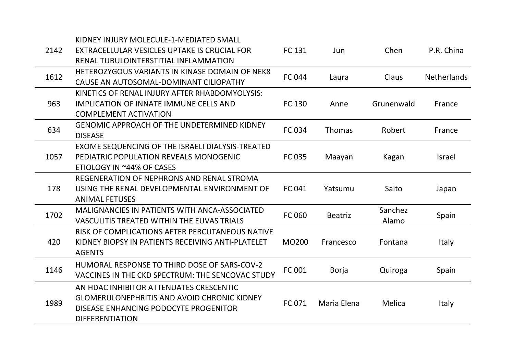|      | KIDNEY INJURY MOLECULE-1-MEDIATED SMALL              |               |                |            |                    |
|------|------------------------------------------------------|---------------|----------------|------------|--------------------|
| 2142 | EXTRACELLULAR VESICLES UPTAKE IS CRUCIAL FOR         | FC 131        | <b>Jun</b>     | Chen       | P.R. China         |
|      | RENAL TUBULOINTERSTITIAL INFLAMMATION                |               |                |            |                    |
|      | HETEROZYGOUS VARIANTS IN KINASE DOMAIN OF NEK8       |               |                |            |                    |
| 1612 | CAUSE AN AUTOSOMAL-DOMINANT CILIOPATHY               | <b>FC 044</b> | Laura          | Claus      | <b>Netherlands</b> |
|      | KINETICS OF RENAL INJURY AFTER RHABDOMYOLYSIS:       |               |                |            |                    |
| 963  | <b>IMPLICATION OF INNATE IMMUNE CELLS AND</b>        | FC 130        | Anne           | Grunenwald | France             |
|      | <b>COMPLEMENT ACTIVATION</b>                         |               |                |            |                    |
| 634  | <b>GENOMIC APPROACH OF THE UNDETERMINED KIDNEY</b>   | <b>FC 034</b> | <b>Thomas</b>  | Robert     | France             |
|      | <b>DISEASE</b>                                       |               |                |            |                    |
|      | EXOME SEQUENCING OF THE ISRAELI DIALYSIS-TREATED     |               |                |            |                    |
| 1057 | PEDIATRIC POPULATION REVEALS MONOGENIC               | <b>FC 035</b> | Maayan         | Kagan      | <b>Israel</b>      |
|      | ETIOLOGY IN ~44% OF CASES                            |               |                |            |                    |
|      | REGENERATION OF NEPHRONS AND RENAL STROMA            |               |                |            |                    |
| 178  | USING THE RENAL DEVELOPMENTAL ENVIRONMENT OF         | FC 041        | Yatsumu        | Saito      | Japan              |
|      | <b>ANIMAL FETUSES</b>                                |               |                |            |                    |
| 1702 | <b>MALIGNANCIES IN PATIENTS WITH ANCA-ASSOCIATED</b> | <b>FC 060</b> | <b>Beatriz</b> | Sanchez    | Spain              |
|      | <b>VASCULITIS TREATED WITHIN THE EUVAS TRIALS</b>    |               |                | Alamo      |                    |
|      | RISK OF COMPLICATIONS AFTER PERCUTANEOUS NATIVE      |               |                |            |                    |
| 420  | KIDNEY BIOPSY IN PATIENTS RECEIVING ANTI-PLATELET    | MO200         | Francesco      | Fontana    | Italy              |
|      | <b>AGENTS</b>                                        |               |                |            |                    |
| 1146 | HUMORAL RESPONSE TO THIRD DOSE OF SARS-COV-2         | FC 001        |                |            |                    |
|      | VACCINES IN THE CKD SPECTRUM: THE SENCOVAC STUDY     |               | <b>Borja</b>   | Quiroga    | Spain              |
|      | AN HDAC INHIBITOR ATTENUATES CRESCENTIC              |               |                |            |                    |
| 1989 | <b>GLOMERULONEPHRITIS AND AVOID CHRONIC KIDNEY</b>   |               |                |            |                    |
|      | DISEASE ENHANCING PODOCYTE PROGENITOR                | FC 071        | Maria Elena    | Melica     | <b>Italy</b>       |
|      | <b>DIFFERENTIATION</b>                               |               |                |            |                    |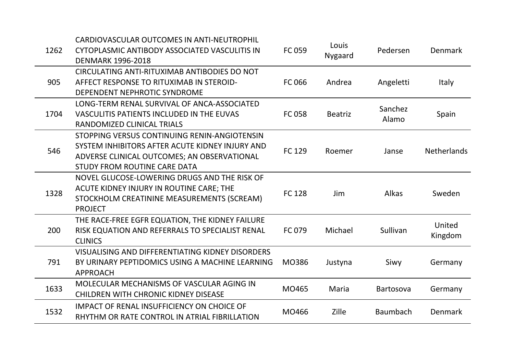CARDIOVASCULAR OUTCOMES IN ANTI-NEUTROPHIL

| 1262 | CYTOPLASMIC ANTIBODY ASSOCIATED VASCULITIS IN<br><b>DENMARK 1996-2018</b>                                                                                                      | FC 059        | Louis<br><b>Nygaard</b> | Pedersen         | Denmark            |
|------|--------------------------------------------------------------------------------------------------------------------------------------------------------------------------------|---------------|-------------------------|------------------|--------------------|
| 905  | CIRCULATING ANTI-RITUXIMAB ANTIBODIES DO NOT<br>AFFECT RESPONSE TO RITUXIMAB IN STEROID-<br>DEPENDENT NEPHROTIC SYNDROME                                                       | FC 066        | Andrea                  | Angeletti        | <b>Italy</b>       |
| 1704 | LONG-TERM RENAL SURVIVAL OF ANCA-ASSOCIATED<br>VASCULITIS PATIENTS INCLUDED IN THE EUVAS<br>RANDOMIZED CLINICAL TRIALS                                                         | <b>FC 058</b> | <b>Beatriz</b>          | Sanchez<br>Alamo | Spain              |
| 546  | STOPPING VERSUS CONTINUING RENIN-ANGIOTENSIN<br>SYSTEM INHIBITORS AFTER ACUTE KIDNEY INJURY AND<br>ADVERSE CLINICAL OUTCOMES; AN OBSERVATIONAL<br>STUDY FROM ROUTINE CARE DATA | FC 129        | Roemer                  | Janse            | <b>Netherlands</b> |
| 1328 | NOVEL GLUCOSE-LOWERING DRUGS AND THE RISK OF<br>ACUTE KIDNEY INJURY IN ROUTINE CARE; THE<br>STOCKHOLM CREATININE MEASUREMENTS (SCREAM)<br><b>PROJECT</b>                       | <b>FC128</b>  | <b>Jim</b>              | Alkas            | Sweden             |
| 200  | THE RACE-FREE EGFR EQUATION, THE KIDNEY FAILURE<br>RISK EQUATION AND REFERRALS TO SPECIALIST RENAL<br><b>CLINICS</b>                                                           | FC 079        | Michael                 | Sullivan         | United<br>Kingdom  |
| 791  | VISUALISING AND DIFFERENTIATING KIDNEY DISORDERS<br>BY URINARY PEPTIDOMICS USING A MACHINE LEARNING<br><b>APPROACH</b>                                                         | MO386         | Justyna                 | Siwy             | Germany            |
| 1633 | MOLECULAR MECHANISMS OF VASCULAR AGING IN<br><b>CHILDREN WITH CHRONIC KIDNEY DISEASE</b>                                                                                       | MO465         | Maria                   | <b>Bartosova</b> | Germany            |
| 1532 | <b>IMPACT OF RENAL INSUFFICIENCY ON CHOICE OF</b><br>RHYTHM OR RATE CONTROL IN ATRIAL FIBRILLATION                                                                             | MO466         | <b>Zille</b>            | <b>Baumbach</b>  | Denmark            |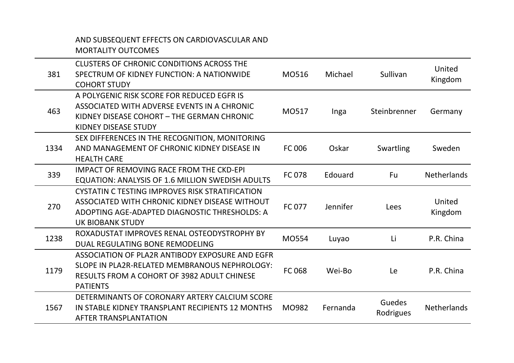## AND SUBSEQUENT EFFECTS ON CARDIOVASCULAR AND MORTALITY OUTCOMES

| 381  | CLUSTERS OF CHRONIC CONDITIONS ACROSS THE<br>SPECTRUM OF KIDNEY FUNCTION: A NATIONWIDE<br><b>COHORT STUDY</b>                                                                 | M0516         | Michael  | Sullivan            | United<br>Kingdom  |
|------|-------------------------------------------------------------------------------------------------------------------------------------------------------------------------------|---------------|----------|---------------------|--------------------|
| 463  | A POLYGENIC RISK SCORE FOR REDUCED EGFR IS<br>ASSOCIATED WITH ADVERSE EVENTS IN A CHRONIC<br>KIDNEY DISEASE COHORT - THE GERMAN CHRONIC<br>KIDNEY DISEASE STUDY               | M0517         | Inga     | Steinbrenner        | Germany            |
| 1334 | SEX DIFFERENCES IN THE RECOGNITION, MONITORING<br>AND MANAGEMENT OF CHRONIC KIDNEY DISEASE IN<br><b>HEALTH CARE</b>                                                           | <b>FC 006</b> | Oskar    | Swartling           | Sweden             |
| 339  | <b>IMPACT OF REMOVING RACE FROM THE CKD-EPI</b><br><b>EQUATION: ANALYSIS OF 1.6 MILLION SWEDISH ADULTS</b>                                                                    | <b>FC078</b>  | Edouard  | <b>Fu</b>           | <b>Netherlands</b> |
| 270  | CYSTATIN C TESTING IMPROVES RISK STRATIFICATION<br>ASSOCIATED WITH CHRONIC KIDNEY DISEASE WITHOUT<br>ADOPTING AGE-ADAPTED DIAGNOSTIC THRESHOLDS: A<br><b>UK BIOBANK STUDY</b> | <b>FC 077</b> | Jennifer | Lees                | United<br>Kingdom  |
| 1238 | ROXADUSTAT IMPROVES RENAL OSTEODYSTROPHY BY<br>DUAL REGULATING BONE REMODELING                                                                                                | MO554         | Luyao    | Li                  | P.R. China         |
| 1179 | ASSOCIATION OF PLA2R ANTIBODY EXPOSURE AND EGFR<br>SLOPE IN PLA2R-RELATED MEMBRANOUS NEPHROLOGY:<br><b>RESULTS FROM A COHORT OF 3982 ADULT CHINESE</b><br><b>PATIENTS</b>     | FC 068        | Wei-Bo   | Le                  | P.R. China         |
| 1567 | DETERMINANTS OF CORONARY ARTERY CALCIUM SCORE<br>IN STABLE KIDNEY TRANSPLANT RECIPIENTS 12 MONTHS<br><b>AFTER TRANSPLANTATION</b>                                             | MO982         | Fernanda | Guedes<br>Rodrigues | <b>Netherlands</b> |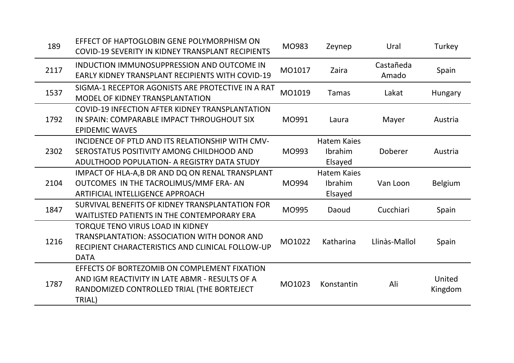| 189  | EFFECT OF HAPTOGLOBIN GENE POLYMORPHISM ON<br>COVID-19 SEVERITY IN KIDNEY TRANSPLANT RECIPIENTS                                                           | MO983  | Zeynep                                   | Ural               | Turkey            |
|------|-----------------------------------------------------------------------------------------------------------------------------------------------------------|--------|------------------------------------------|--------------------|-------------------|
| 2117 | INDUCTION IMMUNOSUPPRESSION AND OUTCOME IN<br><b>EARLY KIDNEY TRANSPLANT RECIPIENTS WITH COVID-19</b>                                                     | MO1017 | Zaira                                    | Castañeda<br>Amado | Spain             |
| 1537 | SIGMA-1 RECEPTOR AGONISTS ARE PROTECTIVE IN A RAT<br>MODEL OF KIDNEY TRANSPLANTATION                                                                      | MO1019 | <b>Tamas</b>                             | Lakat              | <b>Hungary</b>    |
| 1792 | COVID-19 INFECTION AFTER KIDNEY TRANSPLANTATION<br>IN SPAIN: COMPARABLE IMPACT THROUGHOUT SIX<br><b>EPIDEMIC WAVES</b>                                    | MO991  | Laura                                    | Mayer              | Austria           |
| 2302 | INCIDENCE OF PTLD AND ITS RELATIONSHIP WITH CMV-<br>SEROSTATUS POSITIVITY AMONG CHILDHOOD AND<br>ADULTHOOD POPULATION- A REGISTRY DATA STUDY              | MO993  | <b>Hatem Kaies</b><br>Ibrahim<br>Elsayed | Doberer            | Austria           |
| 2104 | IMPACT OF HLA-A, B DR AND DQ ON RENAL TRANSPLANT<br>OUTCOMES IN THE TACROLIMUS/MMF ERA-AN<br><b>ARTIFICIAL INTELLIGENCE APPROACH</b>                      | MO994  | <b>Hatem Kaies</b><br>Ibrahim<br>Elsayed | Van Loon           | Belgium           |
| 1847 | SURVIVAL BENEFITS OF KIDNEY TRANSPLANTATION FOR<br><b>WAITLISTED PATIENTS IN THE CONTEMPORARY ERA</b>                                                     | MO995  | Daoud                                    | Cucchiari          | Spain             |
| 1216 | <b>TORQUE TENO VIRUS LOAD IN KIDNEY</b><br>TRANSPLANTATION: ASSOCIATION WITH DONOR AND<br>RECIPIENT CHARACTERISTICS AND CLINICAL FOLLOW-UP<br><b>DATA</b> | MO1022 | Katharina                                | Llinàs-Mallol      | Spain             |
| 1787 | EFFECTS OF BORTEZOMIB ON COMPLEMENT FIXATION<br>AND IGM REACTIVITY IN LATE ABMR - RESULTS OF A<br>RANDOMIZED CONTROLLED TRIAL (THE BORTEJECT<br>TRIAL)    | MO1023 | Konstantin                               | Ali                | United<br>Kingdom |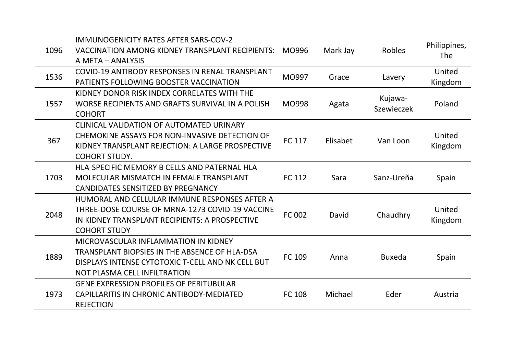| 1096 | <b>IMMUNOGENICITY RATES AFTER SARS-COV-2</b><br>VACCINATION AMONG KIDNEY TRANSPLANT RECIPIENTS: MO996<br>A META - ANALYSIS                                                        |               | Mark Jay | Robles                | Philippines,<br><b>The</b> |
|------|-----------------------------------------------------------------------------------------------------------------------------------------------------------------------------------|---------------|----------|-----------------------|----------------------------|
| 1536 | COVID-19 ANTIBODY RESPONSES IN RENAL TRANSPLANT<br>PATIENTS FOLLOWING BOOSTER VACCINATION                                                                                         | MO997         | Grace    | Lavery                | United<br>Kingdom          |
| 1557 | KIDNEY DONOR RISK INDEX CORRELATES WITH THE<br>WORSE RECIPIENTS AND GRAFTS SURVIVAL IN A POLISH<br><b>COHORT</b>                                                                  | MO998         | Agata    | Kujawa-<br>Szewieczek | Poland                     |
| 367  | CLINICAL VALIDATION OF AUTOMATED URINARY<br>CHEMOKINE ASSAYS FOR NON-INVASIVE DETECTION OF<br>KIDNEY TRANSPLANT REJECTION: A LARGE PROSPECTIVE<br><b>COHORT STUDY.</b>            | <b>FC 117</b> | Elisabet | Van Loon              | United<br>Kingdom          |
| 1703 | HLA-SPECIFIC MEMORY B CELLS AND PATERNAL HLA<br>MOLECULAR MISMATCH IN FEMALE TRANSPLANT<br>CANDIDATES SENSITIZED BY PREGNANCY                                                     | FC 112        | Sara     | Sanz-Ureña            | Spain                      |
| 2048 | HUMORAL AND CELLULAR IMMUNE RESPONSES AFTER A<br>THREE-DOSE COURSE OF MRNA-1273 COVID-19 VACCINE<br>IN KIDNEY TRANSPLANT RECIPIENTS: A PROSPECTIVE<br><b>COHORT STUDY</b>         | FC 002        | David    | Chaudhry              | United<br>Kingdom          |
| 1889 | MICROVASCULAR INFLAMMATION IN KIDNEY<br><b>TRANSPLANT BIOPSIES IN THE ABSENCE OF HLA-DSA</b><br>DISPLAYS INTENSE CYTOTOXIC T-CELL AND NK CELL BUT<br>NOT PLASMA CELL INFILTRATION | FC 109        | Anna     | <b>Buxeda</b>         | Spain                      |
| 1973 | <b>GENE EXPRESSION PROFILES OF PERITUBULAR</b><br>CAPILLARITIS IN CHRONIC ANTIBODY-MEDIATED<br><b>REJECTION</b>                                                                   | <b>FC 108</b> | Michael  | Eder                  | Austria                    |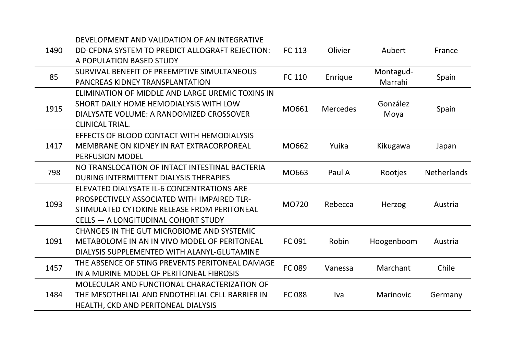| 1490 | DEVELOPMENT AND VALIDATION OF AN INTEGRATIVE<br>DD-CFDNA SYSTEM TO PREDICT ALLOGRAFT REJECTION:<br>A POPULATION BASED STUDY                                                     | FC 113        | Olivier         | Aubert               | France             |
|------|---------------------------------------------------------------------------------------------------------------------------------------------------------------------------------|---------------|-----------------|----------------------|--------------------|
| 85   | SURVIVAL BENEFIT OF PREEMPTIVE SIMULTANEOUS<br>PANCREAS KIDNEY TRANSPLANTATION                                                                                                  | FC 110        | Enrique         | Montagud-<br>Marrahi | Spain              |
| 1915 | ELIMINATION OF MIDDLE AND LARGE UREMIC TOXINS IN<br>SHORT DAILY HOME HEMODIALYSIS WITH LOW<br>DIALYSATE VOLUME: A RANDOMIZED CROSSOVER<br><b>CLINICAL TRIAL.</b>                | MO661         | <b>Mercedes</b> | González<br>Moya     | Spain              |
| 1417 | EFFECTS OF BLOOD CONTACT WITH HEMODIALYSIS<br>MEMBRANE ON KIDNEY IN RAT EXTRACORPOREAL<br><b>PERFUSION MODEL</b>                                                                | MO662         | Yuika           | Kikugawa             | Japan              |
| 798  | NO TRANSLOCATION OF INTACT INTESTINAL BACTERIA<br>DURING INTERMITTENT DIALYSIS THERAPIES                                                                                        | MO663         | Paul A          | Rootjes              | <b>Netherlands</b> |
| 1093 | ELEVATED DIALYSATE IL-6 CONCENTRATIONS ARE<br>PROSPECTIVELY ASSOCIATED WITH IMPAIRED TLR-<br>STIMULATED CYTOKINE RELEASE FROM PERITONEAL<br>CELLS - A LONGITUDINAL COHORT STUDY | MO720         | Rebecca         | Herzog               | Austria            |
| 1091 | <b>CHANGES IN THE GUT MICROBIOME AND SYSTEMIC</b><br>METABOLOME IN AN IN VIVO MODEL OF PERITONEAL<br>DIALYSIS SUPPLEMENTED WITH ALANYL-GLUTAMINE                                | FC 091        | Robin           | Hoogenboom           | Austria            |
| 1457 | THE ABSENCE OF STING PREVENTS PERITONEAL DAMAGE<br>IN A MURINE MODEL OF PERITONEAL FIBROSIS                                                                                     | FC 089        | Vanessa         | Marchant             | Chile              |
| 1484 | MOLECULAR AND FUNCTIONAL CHARACTERIZATION OF<br>THE MESOTHELIAL AND ENDOTHELIAL CELL BARRIER IN<br>HEALTH, CKD AND PERITONEAL DIALYSIS                                          | <b>FC 088</b> | Iva             | <b>Marinovic</b>     | Germany            |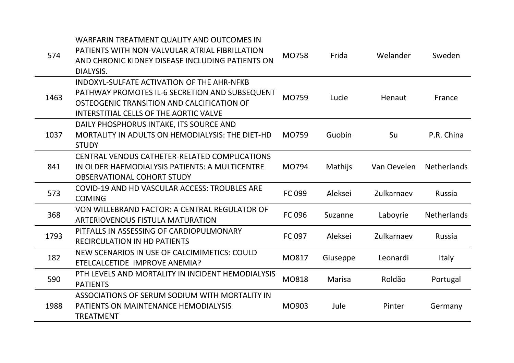| 574  | WARFARIN TREATMENT QUALITY AND OUTCOMES IN<br>PATIENTS WITH NON-VALVULAR ATRIAL FIBRILLATION<br>AND CHRONIC KIDNEY DISEASE INCLUDING PATIENTS ON<br>DIALYSIS.                               | <b>MO758</b> | Frida    | Welander    | Sweden             |
|------|---------------------------------------------------------------------------------------------------------------------------------------------------------------------------------------------|--------------|----------|-------------|--------------------|
| 1463 | <b>INDOXYL-SULFATE ACTIVATION OF THE AHR-NFKB</b><br>PATHWAY PROMOTES IL-6 SECRETION AND SUBSEQUENT<br>OSTEOGENIC TRANSITION AND CALCIFICATION OF<br>INTERSTITIAL CELLS OF THE AORTIC VALVE | MO759        | Lucie    | Henaut      | France             |
| 1037 | DAILY PHOSPHORUS INTAKE, ITS SOURCE AND<br>MORTALITY IN ADULTS ON HEMODIALYSIS: THE DIET-HD<br><b>STUDY</b>                                                                                 | MO759        | Guobin   | Su          | P.R. China         |
| 841  | CENTRAL VENOUS CATHETER-RELATED COMPLICATIONS<br>IN OLDER HAEMODIALYSIS PATIENTS: A MULTICENTRE<br><b>OBSERVATIONAL COHORT STUDY</b>                                                        | MO794        | Mathijs  | Van Oevelen | <b>Netherlands</b> |
| 573  | COVID-19 AND HD VASCULAR ACCESS: TROUBLES ARE<br><b>COMING</b>                                                                                                                              | FC 099       | Aleksei  | Zulkarnaev  | Russia             |
| 368  | VON WILLEBRAND FACTOR: A CENTRAL REGULATOR OF<br>ARTERIOVENOUS FISTULA MATURATION                                                                                                           | FC 096       | Suzanne  | Laboyrie    | <b>Netherlands</b> |
| 1793 | PITFALLS IN ASSESSING OF CARDIOPULMONARY<br><b>RECIRCULATION IN HD PATIENTS</b>                                                                                                             | FC 097       | Aleksei  | Zulkarnaev  | <b>Russia</b>      |
| 182  | NEW SCENARIOS IN USE OF CALCIMIMETICS: COULD<br>ETELCALCETIDE IMPROVE ANEMIA?                                                                                                               | MO817        | Giuseppe | Leonardi    | <b>Italy</b>       |
| 590  | PTH LEVELS AND MORTALITY IN INCIDENT HEMODIALYSIS<br><b>PATIENTS</b>                                                                                                                        | MO818        | Marisa   | Roldão      | Portugal           |
| 1988 | ASSOCIATIONS OF SERUM SODIUM WITH MORTALITY IN<br>PATIENTS ON MAINTENANCE HEMODIALYSIS<br><b>TREATMENT</b>                                                                                  | MO903        | Jule     | Pinter      | Germany            |